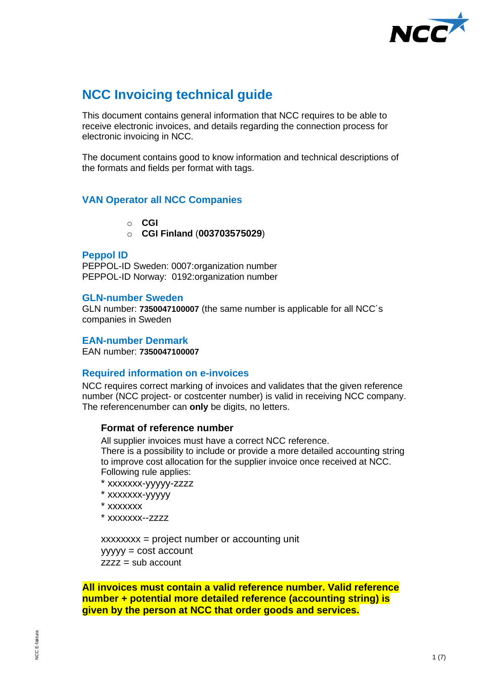

# **NCC Invoicing technical guide**

This document contains general information that NCC requires to be able to receive electronic invoices, and details regarding the connection process for electronic invoicing in NCC.

The document contains good to know information and technical descriptions of the formats and fields per format with tags.

# **VAN Operator all NCC Companies**

- o **CGI**
- o **CGI Finland** (**003703575029**)

# **Peppol ID**

PEPPOL-ID Sweden: 0007:organization number PEPPOL-ID Norway: 0192:organization number

# **GLN-number Sweden**

GLN number: **7350047100007** (the same number is applicable for all NCC´s companies in Sweden

# **EAN-number Denmark**

EAN number: **7350047100007**

# **Required information on e-invoices**

NCC requires correct marking of invoices and validates that the given reference number (NCC project- or costcenter number) is valid in receiving NCC company. The referencenumber can **only** be digits, no letters.

# **Format of reference number**

All supplier invoices must have a correct NCC reference. There is a possibility to include or provide a more detailed accounting string to improve cost allocation for the supplier invoice once received at NCC. Following rule applies:

- \* xxxxxxx-yyyyy-zzzz
- \* xxxxxxx-yyyyy
- \* xxxxxxx
- \* xxxxxxx--zzzz

xxxxxxxx = project number or accounting unit yyyyy = cost account  $zzzz =$ sub account

**All invoices must contain a valid reference number. Valid reference number + potential more detailed reference (accounting string) is given by the person at NCC that order goods and services.**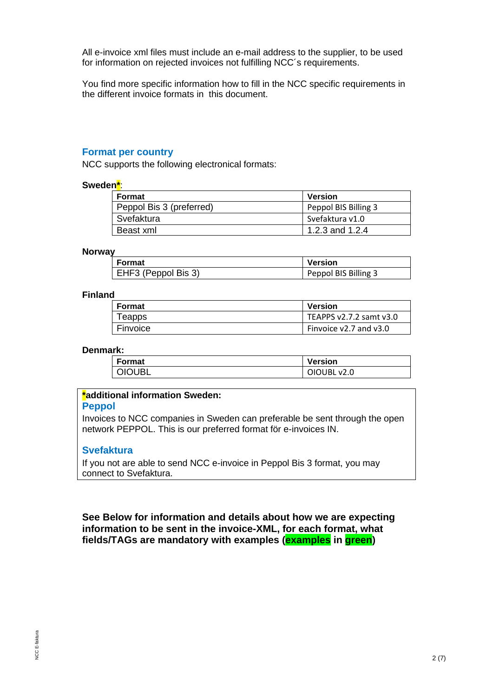All e-invoice xml files must include an e-mail address to the supplier, to be used for information on rejected invoices not fulfilling NCC's requirements.

You find more specific information how to fill in the NCC specific requirements in the different invoice formats in this document.

# **Format per country**

NCC supports the following electronical formats:

#### **Sweden\***:

| Format                   | Version              |
|--------------------------|----------------------|
| Peppol Bis 3 (preferred) | Peppol BIS Billing 3 |
| Svefaktura               | Svefaktura v1.0      |
| Beast xml                | 1.2.3 and 1.2.4      |

#### **Norway**

| Format              | <b>Version</b>       |
|---------------------|----------------------|
| EHF3 (Peppol Bis 3) | Peppol BIS Billing 3 |

#### **Finland**

| Format   | Version                 |
|----------|-------------------------|
| Teapps   | TEAPPS v2.7.2 samt v3.0 |
| Finvoice | Finvoice v2.7 and v3.0  |

#### **Denmark:**

| <b>Format</b> | <b>Version</b> |
|---------------|----------------|
| <b>OIOUBL</b> | OIOUBL v2.0    |

# **\*additional information Sweden:**

#### **Peppol**

Invoices to NCC companies in Sweden can preferable be sent through the open network PEPPOL. This is our preferred format för e-invoices IN.

### **Svefaktura**

If you not are able to send NCC e-invoice in Peppol Bis 3 format, you may connect to Svefaktura.

**See Below for information and details about how we are expecting information to be sent in the invoice-XML, for each format, what fields/TAGs are mandatory with examples (examples in green)**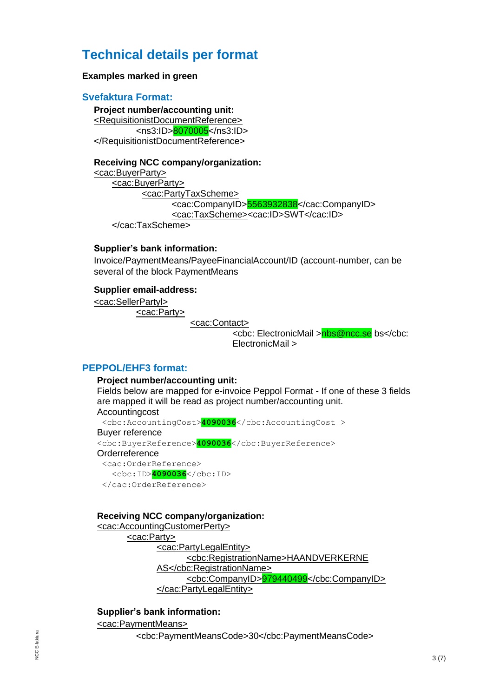# **Technical details per format**

#### **Examples marked in green**

#### **Svefaktura Format:**

**Project number/accounting unit:** [<RequisitionistDocumentReference>](file:///C:/Users/sesusjan/OneDrive%20-%20NCC/Documents/StreamServe%20replacement/Leverantörsfakturor/Svefaktura(Carsmart)/stream01se_fas01se_1875_1064767_20191011130041.xml) <ns3:ID>8070005</ns3:ID> </RequisitionistDocumentReference>

#### **Receiving NCC company/organization:**

[<cac:BuyerParty>](file:///R:/01%20Förvaltning/01%20System/12%20Streamserve/03%20Projekt/StreamServe_replacement/Leverantörsfakturor/20200401/SVEFAKTURA_SBDH/InExchange_Jula%20Sverige%20AB_7101818167_154109100.xml) [<cac:BuyerParty>](file:///R:/01%20Förvaltning/01%20System/12%20Streamserve/03%20Projekt/StreamServe_replacement/Leverantörsfakturor/20200401/SVEFAKTURA_SBDH/InExchange_Jula%20Sverige%20AB_7101818167_154109100.xml) [<cac:PartyTaxScheme>](file:///R:/01%20Förvaltning/01%20System/12%20Streamserve/03%20Projekt/StreamServe_replacement/Leverantörsfakturor/20200401/SVEFAKTURA_SBDH/InExchange_Jula%20Sverige%20AB_7101818167_154109100.xml) <cac:CompanyID>5563932838</cac:CompanyID> [<cac:TaxScheme><](file:///R:/01%20Förvaltning/01%20System/12%20Streamserve/03%20Projekt/StreamServe_replacement/Leverantörsfakturor/20200401/SVEFAKTURA_SBDH/InExchange_Jula%20Sverige%20AB_7101818167_154109100.xml)cac:ID>SWT</cac:ID> </cac:TaxScheme>

### **Supplier's bank information:**

Invoice/PaymentMeans/PayeeFinancialAccount/ID (account-number, can be several of the block PaymentMeans

#### **Supplier email-address:**

[<cac:SellerPartyl>](file:///R:/01%20Förvaltning/01%20System/12%20Streamserve/03%20Projekt/StreamServe_replacement/Leverantörsfakturor/20200401/SVEFAKTURA_SBDH/InExchange_Jula%20Sverige%20AB_7101818167_154109100.xml) [<cac:Party>](file:///R:/01%20Förvaltning/01%20System/12%20Streamserve/03%20Projekt/StreamServe_replacement/Leverantörsfakturor/20200401/SVEFAKTURA_SBDH/InExchange_Jula%20Sverige%20AB_7101818167_154109100.xml)

[<cac:Contact>](file:///R:/01%20Förvaltning/01%20System/12%20Streamserve/03%20Projekt/StreamServe_replacement/Leverantörsfakturor/20200401/SVEFAKTURA_SBDH/InExchange_Jula%20Sverige%20AB_7101818167_154109100.xml)

<cbc: ElectronicMail >nbs@ncc.se bs</cbc: ElectronicMail >

#### **PEPPOL/EHF3 format:**

#### **Project number/accounting unit:**

Fields below are mapped for e-invoice Peppol Format - If one of these 3 fields are mapped it will be read as project number/accounting unit. **Accountingcost**  <cbc:AccountingCost>**4090036**</cbc:AccountingCost > Buyer reference <cbc:BuyerReference>**4090036**</cbc:BuyerReference> **Orderreference**  <cac:OrderReference> <cbc:ID>**4090036**</cbc:ID> </cac:OrderReference>

#### **Receiving NCC company/organization:**

[<cac:AccountingCustomerPerty>](file:///R:/01%20Förvaltning/01%20System/12%20Streamserve/03%20Projekt/StreamServe_replacement/Leverantörsfakturor/20200401/SVEFAKTURA_SBDH/InExchange_Jula%20Sverige%20AB_7101818167_154109100.xml)

[<cac:Party>](file:///R:/01%20Förvaltning/01%20System/12%20Streamserve/03%20Projekt/StreamServe_replacement/Leverantörsfakturor/20200401/SVEFAKTURA_SBDH/InExchange_Jula%20Sverige%20AB_7101818167_154109100.xml) [<cac:PartyLegalEntity>](file:///R:/01%20Förvaltning/01%20System/12%20Streamserve/03%20Projekt/StreamServe_replacement/Leverantörsfakturor/20200401/PEPPOL(Norge)/DLVY1364-bcf1c02a-1149-4eb1-ba93-0045967cbdef.xml) <cbc:RegistrationName>HAANDVERKERNE AS</cbc:RegistrationName> <cbc:CompanyID>979440499</cbc:CompanyID> </cac:PartyLegalEntity>

# **Supplier's bank information:**

[<cac:PaymentMeans>](file:///C:/Users/seninyak/Downloads/DLVY1364-051b65c8-a1dc-4a3c-bbd9-46f37beefa9b.xml)

<cbc:PaymentMeansCode>30</cbc:PaymentMeansCode>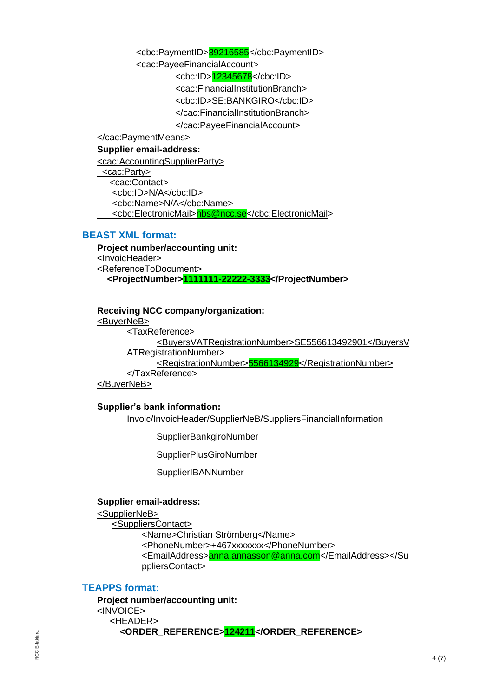<cbc:PaymentID>39216585</cbc:PaymentID> [<cac:PayeeFinancialAccount>](file:///C:/Users/seninyak/Downloads/DLVY1364-051b65c8-a1dc-4a3c-bbd9-46f37beefa9b.xml) <cbc:ID>12345678</cbc:ID> [<cac:FinancialInstitutionBranch>](file:///C:/Users/seninyak/Downloads/DLVY1364-051b65c8-a1dc-4a3c-bbd9-46f37beefa9b.xml) <cbc:ID>SE:BANKGIRO</cbc:ID> </cac:FinancialInstitutionBranch> </cac:PayeeFinancialAccount> </cac:PaymentMeans>

# **Supplier email-address:**

[<cac:AccountingSupplierParty>](file:///C:/Users/sesusjan/Documents/StreamServe%20replacement/Layout%20kundfakturor/Tester_TEAPPS_change/OIOUBL/Resultat/T_%20121333_0000179976303.xml) [<cac:Party>](file:///C:/Users/sesusjan/Documents/StreamServe%20replacement/Layout%20kundfakturor/Tester_TEAPPS_change/OIOUBL/Resultat/T_%20121333_0000179976303.xml) [<cac:Contact>](file:///C:/Users/sesusjan/Documents/StreamServe%20replacement/Layout%20kundfakturor/Tester_TEAPPS_change/OIOUBL/Resultat/T_%20121333_0000179976303.xml) <cbc:ID>N/A</cbc:ID> <cbc:Name>N/A</cbc:Name> [<cbc:ElectronicMail>nbs@ncc.se</cbc:ElectronicMail>](mailto:%3ccbc:ElectronicMail%3enbs@ncc.se%3c/cbc:ElectronicMail)

# **BEAST XML format:**

**Project number/accounting unit:** <InvoicHeader> <ReferenceToDocument>  **<ProjectNumber>1111111-22222-3333</ProjectNumber>**

**Receiving NCC company/organization:**

[<BuyerNeB>](file:///R:/01%20Förvaltning/01%20System/12%20Streamserve/03%20Projekt/StreamServe_replacement/Leverantörsfakturor/20200401/BEAST_SBDH/SEINVOIC_20200323_101225_627.xml)

[<TaxReference>](file:///R:/01%20Förvaltning/01%20System/12%20Streamserve/03%20Projekt/StreamServe_replacement/Leverantörsfakturor/20200401/BEAST_SBDH/SEINVOIC_20200323_101225_627.xml) <BuyersVATRegistrationNumber>SE556613492901</BuyersV ATRegistrationNumber> <RegistrationNumber>5566134929</RegistrationNumber> </TaxReference> </BuyerNeB>

# **Supplier's bank information:**

Invoic/InvoicHeader/SupplierNeB/SuppliersFinancialInformation

SupplierBankgiroNumber

SupplierPlusGiroNumber

SupplierIBANNumber

# **Supplier email-address:**

[<SupplierNeB>](file:///C:/Users/sesusjan/OneDrive%20-%20NCC/Documents/StreamServe%20replacement/Leverantörsfakturor/TEST_Teapps_BEAst_2020-06-01/BEAst/SEINVOIC_20200525_105159_927.xml)

<SuppliersContact> <Name>Christian Strömberg</Name> <PhoneNumber>+467xxxxxxx</PhoneNumber> <EmailAddress>anna.annasson@anna.com</EmailAddress></Su ppliersContact>

# **TEAPPS format:**

**Project number/accounting unit:** <INVOICE> <HEADER> **<ORDER\_REFERENCE>124211</ORDER\_REFERENCE>**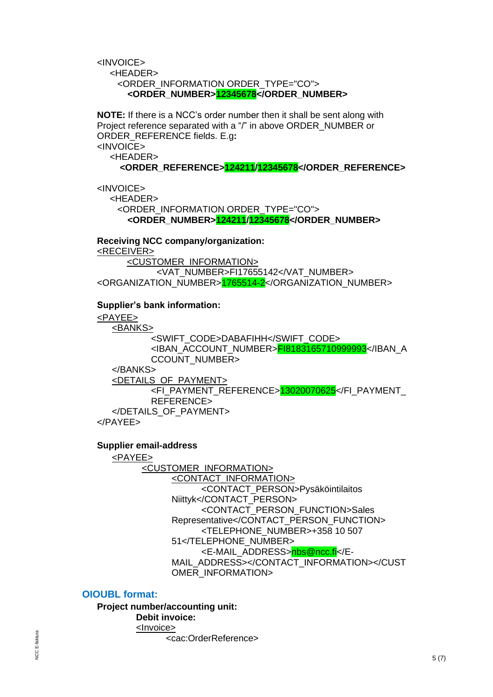<INVOICE> <HEADER> <ORDER\_INFORMATION ORDER\_TYPE="CO"> **<ORDER\_NUMBER>12345678</ORDER\_NUMBER>**

**NOTE:** If there is a NCC's order number then it shall be sent along with Project reference separated with a "/" in above ORDER\_NUMBER or ORDER\_REFERENCE fields. E.g**:** <INVOICE> <HEADER>

**<ORDER\_REFERENCE>124211/12345678</ORDER\_REFERENCE>**

<INVOICE>

 <HEADER> <ORDER\_INFORMATION ORDER\_TYPE="CO"> **<ORDER\_NUMBER>124211/12345678</ORDER\_NUMBER>**

**Receiving NCC company/organization:** [<RECEIVER>](file:///C:/Users/seninyak/AppData/Local/Temp/Temp1_003717655142_EE9AC06A-FD80-EA11-8070-25CCFA8FA2AA.zip/003717655142_EE9AC06A-FD80-EA11-8070-25CCFA8FA2AA.xml) [<CUSTOMER\\_INFORMATION>](file:///C:/Users/seninyak/AppData/Local/Temp/Temp1_003717655142_EE9AC06A-FD80-EA11-8070-25CCFA8FA2AA.zip/003717655142_EE9AC06A-FD80-EA11-8070-25CCFA8FA2AA.xml) <VAT\_NUMBER>FI17655142</VAT\_NUMBER>

<ORGANIZATION\_NUMBER>1765514-2</ORGANIZATION\_NUMBER>

# **Supplier's bank information:**

[<PAYEE>](file:///C:/Users/seninyak/AppData/Local/Temp/Temp1_upload_invoice_NCC_0000187734623.zip/01040003_NCC_P_ITELLAFI-000187733993.xml) [<BANKS>](file:///C:/Users/seninyak/AppData/Local/Temp/Temp1_upload_invoice_NCC_0000187734623.zip/01040003_NCC_P_ITELLAFI-000187733993.xml) <SWIFT\_CODE>DABAFIHH</SWIFT\_CODE> <IBAN\_ACCOUNT\_NUMBER>FI8183165710999993</IBAN\_A CCOUNT\_NUMBER> </BANKS> [<DETAILS\\_OF\\_PAYMENT>](file:///C:/Users/seninyak/AppData/Local/Temp/Temp1_upload_invoice_NCC_0000187734623.zip/01040003_NCC_P_ITELLAFI-000187733993.xml) <FI\_PAYMENT\_REFERENCE>13020070625</FI\_PAYMENT\_ REFERENCE> </DETAILS\_OF\_PAYMENT> </PAYEE>

# **Supplier email-address**

[<PAYEE>](file:///C:/Users/sesusjan/AppData/Local/Temp/Temp1_upload_invoice_NCC_0000179346293_7061036506.zip/01040003_NCC_P_ITELLAFI-000179341698.xml) [<CUSTOMER\\_INFORMATION>](file:///C:/Users/sesusjan/AppData/Local/Temp/Temp1_upload_invoice_NCC_0000179346293_7061036506.zip/01040003_NCC_P_ITELLAFI-000179341698.xml) [<CONTACT\\_INFORMATION>](file:///C:/Users/sesusjan/AppData/Local/Temp/Temp1_upload_invoice_NCC_0000179346293_7061036506.zip/01040003_NCC_P_ITELLAFI-000179341698.xml) <CONTACT\_PERSON>Pysäköintilaitos Niittyk</CONTACT\_PERSON> <CONTACT\_PERSON\_FUNCTION>Sales Representative</CONTACT\_PERSON\_FUNCTION> <TELEPHONE\_NUMBER>+358 10 507 51</TELEPHONE\_NUMBER> <E-MAIL\_ADDRESS>nbs@ncc.fi</E-MAIL\_ADDRESS></CONTACT\_INFORMATION></CUST OMER\_INFORMATION>

# **OIOUBL format:**

**Project number/accounting unit: Debit invoice:** <Invoice>

<cac:OrderReference>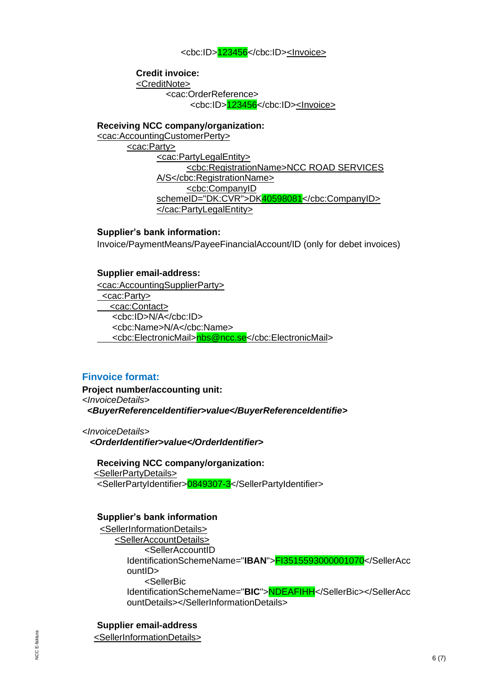#### <cbc:ID>123456</cbc:ID><Invoice>

**Credit invoice:** <CreditNote> <cac:OrderReference> <cbc:ID>123456</cbc:ID><Invoice>

**Receiving NCC company/organization:** [<cac:AccountingCustomerPerty>](file:///R:/01%20Förvaltning/01%20System/12%20Streamserve/03%20Projekt/StreamServe_replacement/Leverantörsfakturor/20200401/SVEFAKTURA_SBDH/InExchange_Jula%20Sverige%20AB_7101818167_154109100.xml) [<cac:Party>](file:///R:/01%20Förvaltning/01%20System/12%20Streamserve/03%20Projekt/StreamServe_replacement/Leverantörsfakturor/20200401/SVEFAKTURA_SBDH/InExchange_Jula%20Sverige%20AB_7101818167_154109100.xml) [<cac:PartyLegalEntity>](file:///R:/01%20Förvaltning/01%20System/12%20Streamserve/03%20Projekt/StreamServe_replacement/Leverantörsfakturor/20200401/OIOUBL/OIOUBL.73560469.xml) <cbc:RegistrationName>NCC ROAD SERVICES A/S</cbc:RegistrationName> <cbc:CompanyID schemeID="DK:CVR">DK40598081</cbc:CompanyID>

**Supplier's bank information:**

Invoice/PaymentMeans/PayeeFinancialAccount/ID (only for debet invoices)

#### **Supplier email-address:**

[<cac:AccountingSupplierParty>](file:///C:/Users/sesusjan/Documents/StreamServe%20replacement/Layout%20kundfakturor/Tester_TEAPPS_change/OIOUBL/Resultat/T_%20121333_0000179976303.xml) [<cac:Party>](file:///C:/Users/sesusjan/Documents/StreamServe%20replacement/Layout%20kundfakturor/Tester_TEAPPS_change/OIOUBL/Resultat/T_%20121333_0000179976303.xml) [<cac:Contact>](file:///C:/Users/sesusjan/Documents/StreamServe%20replacement/Layout%20kundfakturor/Tester_TEAPPS_change/OIOUBL/Resultat/T_%20121333_0000179976303.xml) <cbc:ID>N/A</cbc:ID> <cbc:Name>N/A</cbc:Name> [<cbc:ElectronicMail>nbs@ncc.se</cbc:ElectronicMail>](mailto:%3ccbc:ElectronicMail%3enbs@ncc.se%3c/cbc:ElectronicMail)

</cac:PartyLegalEntity>

#### **Finvoice format:**

**Project number/accounting unit:** *<InvoiceDetails> <BuyerReferenceIdentifier>value</BuyerReferenceIdentifie>*

*<InvoiceDetails> <OrderIdentifier>value</OrderIdentifier>*

**Receiving NCC company/organization:** [<SellerPartyDetails>](file:///R:/01%20Förvaltning/01%20System/12%20Streamserve/03%20Projekt/StreamServe_replacement/Leverantörsfakturor/20200107/FINVOICE/finekigw_BELCFCA3C58CB0611E993348386F4AA0B4D.finvoice_1_2.xml) <SellerPartyIdentifier>0849307-3</SellerPartyIdentifier>

#### **Supplier's bank information**

[<SellerInformationDetails>](file:///R:/01%20Förvaltning/01%20System/12%20Streamserve/03%20Projekt/StreamServe_replacement/Leverantörsfakturor/20200107/FINVOICE/finekigw_BELCFCA3C58CB0611E993348386F4AA0B4D.finvoice_1_2.xml) [<SellerAccountDetails>](file:///R:/01%20Förvaltning/01%20System/12%20Streamserve/03%20Projekt/StreamServe_replacement/Leverantörsfakturor/20200107/FINVOICE/finekigw_BELCFCA3C58CB0611E993348386F4AA0B4D.finvoice_1_2.xml) <SellerAccountID IdentificationSchemeName="**IBAN**">FI3515593000001070</SellerAcc ountID> <SellerBic IdentificationSchemeName="**BIC**">NDEAFIHH</SellerBic></SellerAcc ountDetails></SellerInformationDetails>

**Supplier email-address**

[<SellerInformationDetails>](file:///R:/01%20Förvaltning/01%20System/12%20Streamserve/03%20Projekt/StreamServe_replacement/Leverantörsfakturor/20200107/FINVOICE/infratek_BEL7D754656D48D11E99E7737876565B7A9.xml)